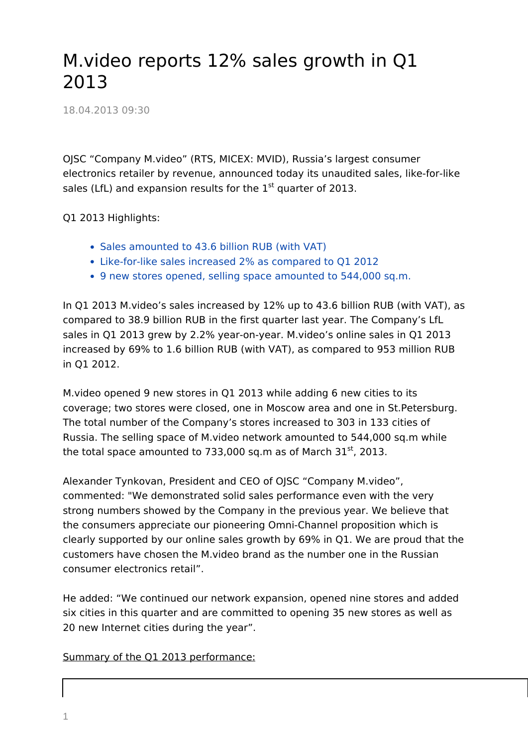## M.video reports 12% sales growth in Q1 2013

18.04.2013 09:30

OJSC "Company M.video" (RTS, MICEX: MVID), Russia's largest consumer electronics retailer by revenue, announced today its unaudited sales, like-for-like sales (LfL) and expansion results for the  $1<sup>st</sup>$  quarter of 2013.

Q1 2013 Highlights:

- Sales amounted to 43.6 billion RUB (with VAT)
- Like-for-like sales increased 2% as compared to Q1 2012
- 9 new stores opened, selling space amounted to 544,000 sq.m.

In Q1 2013 M.video's sales increased by 12% up to 43.6 billion RUB (with VAT), as compared to 38.9 billion RUB in the first quarter last year. The Company's LfL sales in Q1 2013 grew by 2.2% year-on-year. M.video's online sales in Q1 2013 increased by 69% to 1.6 billion RUB (with VAT), as compared to 953 million RUB in Q1 2012.

M.video opened 9 new stores in Q1 2013 while adding 6 new cities to its coverage; two stores were closed, one in Moscow area and one in St.Petersburg. The total number of the Company's stores increased to 303 in 133 cities of Russia. The selling space of M.video network amounted to 544,000 sq.m while the total space amounted to 733,000 sq.m as of March  $31^{st}$ , 2013.

Alexander Tynkovan, President and CEO of OJSC "Company M.video", commented: "We demonstrated solid sales performance even with the very strong numbers showed by the Company in the previous year. We believe that the consumers appreciate our pioneering Omni-Channel proposition which is clearly supported by our online sales growth by 69% in Q1. We are proud that the customers have chosen the M.video brand as the number one in the Russian consumer electronics retail".

He added: "We continued our network expansion, opened nine stores and added six cities in this quarter and are committed to opening 35 new stores as well as 20 new Internet cities during the year".

Summary of the Q1 2013 performance: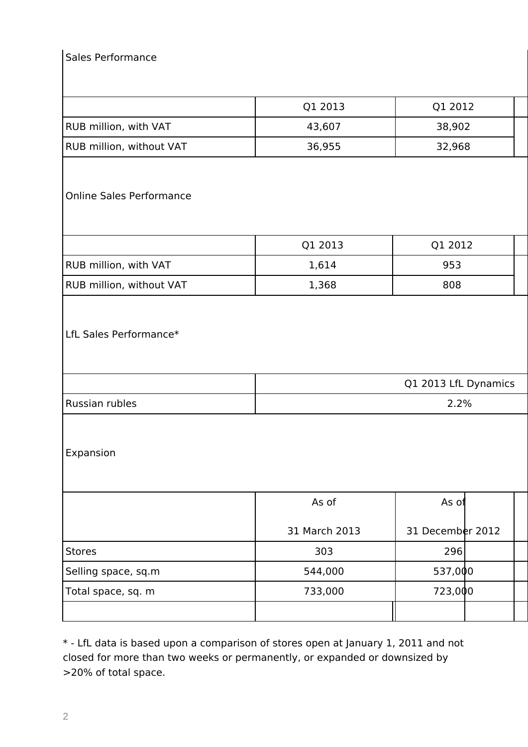## Sales Performance

|                                 | Q1 2013 | Q1 2012 |  |  |  |
|---------------------------------|---------|---------|--|--|--|
| <b>RUB million, with VAT</b>    | 43,607  | 38,902  |  |  |  |
| <b>RUB million, without VAT</b> | 36,955  | 32,968  |  |  |  |

## Online Sales Performance

|                                 | Q1 2013 | Q1 2012 |  |
|---------------------------------|---------|---------|--|
| <b>RUB million, with VAT</b>    | 1,614   | 953     |  |
| <b>RUB million, without VAT</b> | 1,368   | 808     |  |

## LfL Sales Performance\*

|                | Q1 2013 LfL Dynamics |
|----------------|----------------------|
| Russian rubles | 2.2%                 |

Expansion

|                     | As of         | As $of$          |  |
|---------------------|---------------|------------------|--|
|                     | 31 March 2013 | 31 December 2012 |  |
| Stores              | 303           | 296              |  |
| Selling space, sq.m | 544,000       | 537,000          |  |
| Total space, sq. m  | 733,000       | 723,000          |  |
|                     |               |                  |  |

\* - LfL data is based upon a comparison of stores open at January 1, 2011 and not closed for more than two weeks or permanently, or expanded or downsized by >20% of total space.